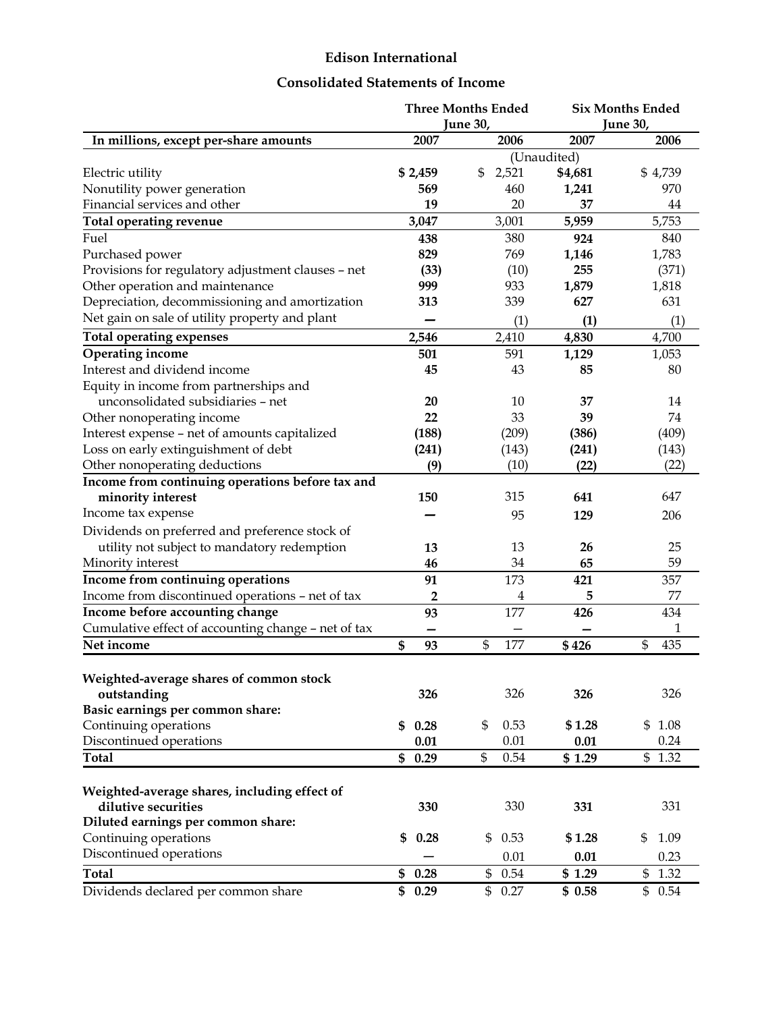## **Edison International**

#### **Consolidated Statements of Income**

| <b>June 30,</b><br>June 30,<br>2007<br>2006<br>2007<br>2006<br>In millions, except per-share amounts<br>(Unaudited)<br>2,521<br>\$4,681<br>\$4,739<br>\$2,459<br>\$<br>Electric utility<br>Nonutility power generation<br>970<br>569<br>460<br>1,241<br>Financial services and other<br>19<br>20<br>37<br>44<br>5,753<br>3,047<br>3,001<br>5,959<br><b>Total operating revenue</b><br>Fuel<br>438<br>380<br>924<br>840<br>1,783<br>Purchased power<br>829<br>769<br>1,146<br>Provisions for regulatory adjustment clauses - net<br>(33)<br>255<br>(371)<br>(10)<br>Other operation and maintenance<br>999<br>1,879<br>933<br>1,818<br>Depreciation, decommissioning and amortization<br>339<br>627<br>631<br>313<br>Net gain on sale of utility property and plant<br>(1)<br>(1)<br>(1)<br><b>Total operating expenses</b><br>2,546<br>4,830<br>4,700<br>2,410<br>Operating income<br>501<br>591<br>1,129<br>1,053<br>Interest and dividend income<br>45<br>43<br>80<br>85<br>Equity in income from partnerships and<br>unconsolidated subsidiaries - net<br>10<br>14<br>20<br>37<br>22<br>33<br>74<br>Other nonoperating income<br>39<br>Interest expense - net of amounts capitalized<br>(209)<br>(409)<br>(188)<br>(386)<br>Loss on early extinguishment of debt<br>(241)<br>(143)<br>(241)<br>(143)<br>Other nonoperating deductions<br>(10)<br>(22)<br>(9)<br>(22)<br>Income from continuing operations before tax and<br>150<br>315<br>minority interest<br>641<br>647<br>Income tax expense<br>206<br>95<br>129<br>Dividends on preferred and preference stock of<br>utility not subject to mandatory redemption<br>13<br>25<br>26<br>13<br>59<br>Minority interest<br>34<br>65<br>46<br>Income from continuing operations<br>173<br>357<br>91<br>421<br>Income from discontinued operations - net of tax<br>77<br>$\overline{\mathbf{c}}$<br>4<br>5<br>Income before accounting change<br>177<br>93<br>426<br>434<br>Cumulative effect of accounting change - net of tax<br>1<br>\$<br>Net income<br>\$<br>177<br>\$426<br>435<br>\$<br>93<br>Weighted-average shares of common stock<br>326<br>326<br>outstanding<br>326<br>326<br>Basic earnings per common share:<br>Continuing operations<br>\$<br>0.53<br>\$1.08<br>\$1.28<br>0.28<br>\$<br>Discontinued operations<br>0.01<br>0.01<br>0.24<br>0.01<br>\$<br>\$1.29<br><b>Total</b><br>0.54<br>\$1.32<br>\$0.29<br>Weighted-average shares, including effect of<br>dilutive securities<br>330<br>331<br>330<br>331<br>Diluted earnings per common share:<br>Continuing operations<br>\$<br>\$<br>0.53<br>\$<br>1.09<br>0.28<br>\$1.28<br>Discontinued operations<br>0.01<br>0.23<br>0.01<br>\$<br>0.54<br>\$1.29<br>\$<br>1.32<br><b>Total</b><br>\$<br>0.28<br>Dividends declared per common share<br>\$<br>\$<br>\$<br>0.29<br>0.27<br>\$0.58<br>0.54 |  | <b>Three Months Ended</b> | <b>Six Months Ended</b> |
|----------------------------------------------------------------------------------------------------------------------------------------------------------------------------------------------------------------------------------------------------------------------------------------------------------------------------------------------------------------------------------------------------------------------------------------------------------------------------------------------------------------------------------------------------------------------------------------------------------------------------------------------------------------------------------------------------------------------------------------------------------------------------------------------------------------------------------------------------------------------------------------------------------------------------------------------------------------------------------------------------------------------------------------------------------------------------------------------------------------------------------------------------------------------------------------------------------------------------------------------------------------------------------------------------------------------------------------------------------------------------------------------------------------------------------------------------------------------------------------------------------------------------------------------------------------------------------------------------------------------------------------------------------------------------------------------------------------------------------------------------------------------------------------------------------------------------------------------------------------------------------------------------------------------------------------------------------------------------------------------------------------------------------------------------------------------------------------------------------------------------------------------------------------------------------------------------------------------------------------------------------------------------------------------------------------------------------------------------------------------------------------------------------------------------------------------------------------------------------------------------------------------------------------------------------------------------------------------------------------------------------------------------------------------------------------------------------------------------------------------------------------------------------------------------------------------|--|---------------------------|-------------------------|
|                                                                                                                                                                                                                                                                                                                                                                                                                                                                                                                                                                                                                                                                                                                                                                                                                                                                                                                                                                                                                                                                                                                                                                                                                                                                                                                                                                                                                                                                                                                                                                                                                                                                                                                                                                                                                                                                                                                                                                                                                                                                                                                                                                                                                                                                                                                                                                                                                                                                                                                                                                                                                                                                                                                                                                                                                      |  |                           |                         |
|                                                                                                                                                                                                                                                                                                                                                                                                                                                                                                                                                                                                                                                                                                                                                                                                                                                                                                                                                                                                                                                                                                                                                                                                                                                                                                                                                                                                                                                                                                                                                                                                                                                                                                                                                                                                                                                                                                                                                                                                                                                                                                                                                                                                                                                                                                                                                                                                                                                                                                                                                                                                                                                                                                                                                                                                                      |  |                           |                         |
|                                                                                                                                                                                                                                                                                                                                                                                                                                                                                                                                                                                                                                                                                                                                                                                                                                                                                                                                                                                                                                                                                                                                                                                                                                                                                                                                                                                                                                                                                                                                                                                                                                                                                                                                                                                                                                                                                                                                                                                                                                                                                                                                                                                                                                                                                                                                                                                                                                                                                                                                                                                                                                                                                                                                                                                                                      |  |                           |                         |
|                                                                                                                                                                                                                                                                                                                                                                                                                                                                                                                                                                                                                                                                                                                                                                                                                                                                                                                                                                                                                                                                                                                                                                                                                                                                                                                                                                                                                                                                                                                                                                                                                                                                                                                                                                                                                                                                                                                                                                                                                                                                                                                                                                                                                                                                                                                                                                                                                                                                                                                                                                                                                                                                                                                                                                                                                      |  |                           |                         |
|                                                                                                                                                                                                                                                                                                                                                                                                                                                                                                                                                                                                                                                                                                                                                                                                                                                                                                                                                                                                                                                                                                                                                                                                                                                                                                                                                                                                                                                                                                                                                                                                                                                                                                                                                                                                                                                                                                                                                                                                                                                                                                                                                                                                                                                                                                                                                                                                                                                                                                                                                                                                                                                                                                                                                                                                                      |  |                           |                         |
|                                                                                                                                                                                                                                                                                                                                                                                                                                                                                                                                                                                                                                                                                                                                                                                                                                                                                                                                                                                                                                                                                                                                                                                                                                                                                                                                                                                                                                                                                                                                                                                                                                                                                                                                                                                                                                                                                                                                                                                                                                                                                                                                                                                                                                                                                                                                                                                                                                                                                                                                                                                                                                                                                                                                                                                                                      |  |                           |                         |
|                                                                                                                                                                                                                                                                                                                                                                                                                                                                                                                                                                                                                                                                                                                                                                                                                                                                                                                                                                                                                                                                                                                                                                                                                                                                                                                                                                                                                                                                                                                                                                                                                                                                                                                                                                                                                                                                                                                                                                                                                                                                                                                                                                                                                                                                                                                                                                                                                                                                                                                                                                                                                                                                                                                                                                                                                      |  |                           |                         |
|                                                                                                                                                                                                                                                                                                                                                                                                                                                                                                                                                                                                                                                                                                                                                                                                                                                                                                                                                                                                                                                                                                                                                                                                                                                                                                                                                                                                                                                                                                                                                                                                                                                                                                                                                                                                                                                                                                                                                                                                                                                                                                                                                                                                                                                                                                                                                                                                                                                                                                                                                                                                                                                                                                                                                                                                                      |  |                           |                         |
|                                                                                                                                                                                                                                                                                                                                                                                                                                                                                                                                                                                                                                                                                                                                                                                                                                                                                                                                                                                                                                                                                                                                                                                                                                                                                                                                                                                                                                                                                                                                                                                                                                                                                                                                                                                                                                                                                                                                                                                                                                                                                                                                                                                                                                                                                                                                                                                                                                                                                                                                                                                                                                                                                                                                                                                                                      |  |                           |                         |
|                                                                                                                                                                                                                                                                                                                                                                                                                                                                                                                                                                                                                                                                                                                                                                                                                                                                                                                                                                                                                                                                                                                                                                                                                                                                                                                                                                                                                                                                                                                                                                                                                                                                                                                                                                                                                                                                                                                                                                                                                                                                                                                                                                                                                                                                                                                                                                                                                                                                                                                                                                                                                                                                                                                                                                                                                      |  |                           |                         |
|                                                                                                                                                                                                                                                                                                                                                                                                                                                                                                                                                                                                                                                                                                                                                                                                                                                                                                                                                                                                                                                                                                                                                                                                                                                                                                                                                                                                                                                                                                                                                                                                                                                                                                                                                                                                                                                                                                                                                                                                                                                                                                                                                                                                                                                                                                                                                                                                                                                                                                                                                                                                                                                                                                                                                                                                                      |  |                           |                         |
|                                                                                                                                                                                                                                                                                                                                                                                                                                                                                                                                                                                                                                                                                                                                                                                                                                                                                                                                                                                                                                                                                                                                                                                                                                                                                                                                                                                                                                                                                                                                                                                                                                                                                                                                                                                                                                                                                                                                                                                                                                                                                                                                                                                                                                                                                                                                                                                                                                                                                                                                                                                                                                                                                                                                                                                                                      |  |                           |                         |
|                                                                                                                                                                                                                                                                                                                                                                                                                                                                                                                                                                                                                                                                                                                                                                                                                                                                                                                                                                                                                                                                                                                                                                                                                                                                                                                                                                                                                                                                                                                                                                                                                                                                                                                                                                                                                                                                                                                                                                                                                                                                                                                                                                                                                                                                                                                                                                                                                                                                                                                                                                                                                                                                                                                                                                                                                      |  |                           |                         |
|                                                                                                                                                                                                                                                                                                                                                                                                                                                                                                                                                                                                                                                                                                                                                                                                                                                                                                                                                                                                                                                                                                                                                                                                                                                                                                                                                                                                                                                                                                                                                                                                                                                                                                                                                                                                                                                                                                                                                                                                                                                                                                                                                                                                                                                                                                                                                                                                                                                                                                                                                                                                                                                                                                                                                                                                                      |  |                           |                         |
|                                                                                                                                                                                                                                                                                                                                                                                                                                                                                                                                                                                                                                                                                                                                                                                                                                                                                                                                                                                                                                                                                                                                                                                                                                                                                                                                                                                                                                                                                                                                                                                                                                                                                                                                                                                                                                                                                                                                                                                                                                                                                                                                                                                                                                                                                                                                                                                                                                                                                                                                                                                                                                                                                                                                                                                                                      |  |                           |                         |
|                                                                                                                                                                                                                                                                                                                                                                                                                                                                                                                                                                                                                                                                                                                                                                                                                                                                                                                                                                                                                                                                                                                                                                                                                                                                                                                                                                                                                                                                                                                                                                                                                                                                                                                                                                                                                                                                                                                                                                                                                                                                                                                                                                                                                                                                                                                                                                                                                                                                                                                                                                                                                                                                                                                                                                                                                      |  |                           |                         |
|                                                                                                                                                                                                                                                                                                                                                                                                                                                                                                                                                                                                                                                                                                                                                                                                                                                                                                                                                                                                                                                                                                                                                                                                                                                                                                                                                                                                                                                                                                                                                                                                                                                                                                                                                                                                                                                                                                                                                                                                                                                                                                                                                                                                                                                                                                                                                                                                                                                                                                                                                                                                                                                                                                                                                                                                                      |  |                           |                         |
|                                                                                                                                                                                                                                                                                                                                                                                                                                                                                                                                                                                                                                                                                                                                                                                                                                                                                                                                                                                                                                                                                                                                                                                                                                                                                                                                                                                                                                                                                                                                                                                                                                                                                                                                                                                                                                                                                                                                                                                                                                                                                                                                                                                                                                                                                                                                                                                                                                                                                                                                                                                                                                                                                                                                                                                                                      |  |                           |                         |
|                                                                                                                                                                                                                                                                                                                                                                                                                                                                                                                                                                                                                                                                                                                                                                                                                                                                                                                                                                                                                                                                                                                                                                                                                                                                                                                                                                                                                                                                                                                                                                                                                                                                                                                                                                                                                                                                                                                                                                                                                                                                                                                                                                                                                                                                                                                                                                                                                                                                                                                                                                                                                                                                                                                                                                                                                      |  |                           |                         |
|                                                                                                                                                                                                                                                                                                                                                                                                                                                                                                                                                                                                                                                                                                                                                                                                                                                                                                                                                                                                                                                                                                                                                                                                                                                                                                                                                                                                                                                                                                                                                                                                                                                                                                                                                                                                                                                                                                                                                                                                                                                                                                                                                                                                                                                                                                                                                                                                                                                                                                                                                                                                                                                                                                                                                                                                                      |  |                           |                         |
|                                                                                                                                                                                                                                                                                                                                                                                                                                                                                                                                                                                                                                                                                                                                                                                                                                                                                                                                                                                                                                                                                                                                                                                                                                                                                                                                                                                                                                                                                                                                                                                                                                                                                                                                                                                                                                                                                                                                                                                                                                                                                                                                                                                                                                                                                                                                                                                                                                                                                                                                                                                                                                                                                                                                                                                                                      |  |                           |                         |
|                                                                                                                                                                                                                                                                                                                                                                                                                                                                                                                                                                                                                                                                                                                                                                                                                                                                                                                                                                                                                                                                                                                                                                                                                                                                                                                                                                                                                                                                                                                                                                                                                                                                                                                                                                                                                                                                                                                                                                                                                                                                                                                                                                                                                                                                                                                                                                                                                                                                                                                                                                                                                                                                                                                                                                                                                      |  |                           |                         |
|                                                                                                                                                                                                                                                                                                                                                                                                                                                                                                                                                                                                                                                                                                                                                                                                                                                                                                                                                                                                                                                                                                                                                                                                                                                                                                                                                                                                                                                                                                                                                                                                                                                                                                                                                                                                                                                                                                                                                                                                                                                                                                                                                                                                                                                                                                                                                                                                                                                                                                                                                                                                                                                                                                                                                                                                                      |  |                           |                         |
|                                                                                                                                                                                                                                                                                                                                                                                                                                                                                                                                                                                                                                                                                                                                                                                                                                                                                                                                                                                                                                                                                                                                                                                                                                                                                                                                                                                                                                                                                                                                                                                                                                                                                                                                                                                                                                                                                                                                                                                                                                                                                                                                                                                                                                                                                                                                                                                                                                                                                                                                                                                                                                                                                                                                                                                                                      |  |                           |                         |
|                                                                                                                                                                                                                                                                                                                                                                                                                                                                                                                                                                                                                                                                                                                                                                                                                                                                                                                                                                                                                                                                                                                                                                                                                                                                                                                                                                                                                                                                                                                                                                                                                                                                                                                                                                                                                                                                                                                                                                                                                                                                                                                                                                                                                                                                                                                                                                                                                                                                                                                                                                                                                                                                                                                                                                                                                      |  |                           |                         |
|                                                                                                                                                                                                                                                                                                                                                                                                                                                                                                                                                                                                                                                                                                                                                                                                                                                                                                                                                                                                                                                                                                                                                                                                                                                                                                                                                                                                                                                                                                                                                                                                                                                                                                                                                                                                                                                                                                                                                                                                                                                                                                                                                                                                                                                                                                                                                                                                                                                                                                                                                                                                                                                                                                                                                                                                                      |  |                           |                         |
|                                                                                                                                                                                                                                                                                                                                                                                                                                                                                                                                                                                                                                                                                                                                                                                                                                                                                                                                                                                                                                                                                                                                                                                                                                                                                                                                                                                                                                                                                                                                                                                                                                                                                                                                                                                                                                                                                                                                                                                                                                                                                                                                                                                                                                                                                                                                                                                                                                                                                                                                                                                                                                                                                                                                                                                                                      |  |                           |                         |
|                                                                                                                                                                                                                                                                                                                                                                                                                                                                                                                                                                                                                                                                                                                                                                                                                                                                                                                                                                                                                                                                                                                                                                                                                                                                                                                                                                                                                                                                                                                                                                                                                                                                                                                                                                                                                                                                                                                                                                                                                                                                                                                                                                                                                                                                                                                                                                                                                                                                                                                                                                                                                                                                                                                                                                                                                      |  |                           |                         |
|                                                                                                                                                                                                                                                                                                                                                                                                                                                                                                                                                                                                                                                                                                                                                                                                                                                                                                                                                                                                                                                                                                                                                                                                                                                                                                                                                                                                                                                                                                                                                                                                                                                                                                                                                                                                                                                                                                                                                                                                                                                                                                                                                                                                                                                                                                                                                                                                                                                                                                                                                                                                                                                                                                                                                                                                                      |  |                           |                         |
|                                                                                                                                                                                                                                                                                                                                                                                                                                                                                                                                                                                                                                                                                                                                                                                                                                                                                                                                                                                                                                                                                                                                                                                                                                                                                                                                                                                                                                                                                                                                                                                                                                                                                                                                                                                                                                                                                                                                                                                                                                                                                                                                                                                                                                                                                                                                                                                                                                                                                                                                                                                                                                                                                                                                                                                                                      |  |                           |                         |
|                                                                                                                                                                                                                                                                                                                                                                                                                                                                                                                                                                                                                                                                                                                                                                                                                                                                                                                                                                                                                                                                                                                                                                                                                                                                                                                                                                                                                                                                                                                                                                                                                                                                                                                                                                                                                                                                                                                                                                                                                                                                                                                                                                                                                                                                                                                                                                                                                                                                                                                                                                                                                                                                                                                                                                                                                      |  |                           |                         |
|                                                                                                                                                                                                                                                                                                                                                                                                                                                                                                                                                                                                                                                                                                                                                                                                                                                                                                                                                                                                                                                                                                                                                                                                                                                                                                                                                                                                                                                                                                                                                                                                                                                                                                                                                                                                                                                                                                                                                                                                                                                                                                                                                                                                                                                                                                                                                                                                                                                                                                                                                                                                                                                                                                                                                                                                                      |  |                           |                         |
|                                                                                                                                                                                                                                                                                                                                                                                                                                                                                                                                                                                                                                                                                                                                                                                                                                                                                                                                                                                                                                                                                                                                                                                                                                                                                                                                                                                                                                                                                                                                                                                                                                                                                                                                                                                                                                                                                                                                                                                                                                                                                                                                                                                                                                                                                                                                                                                                                                                                                                                                                                                                                                                                                                                                                                                                                      |  |                           |                         |
|                                                                                                                                                                                                                                                                                                                                                                                                                                                                                                                                                                                                                                                                                                                                                                                                                                                                                                                                                                                                                                                                                                                                                                                                                                                                                                                                                                                                                                                                                                                                                                                                                                                                                                                                                                                                                                                                                                                                                                                                                                                                                                                                                                                                                                                                                                                                                                                                                                                                                                                                                                                                                                                                                                                                                                                                                      |  |                           |                         |
|                                                                                                                                                                                                                                                                                                                                                                                                                                                                                                                                                                                                                                                                                                                                                                                                                                                                                                                                                                                                                                                                                                                                                                                                                                                                                                                                                                                                                                                                                                                                                                                                                                                                                                                                                                                                                                                                                                                                                                                                                                                                                                                                                                                                                                                                                                                                                                                                                                                                                                                                                                                                                                                                                                                                                                                                                      |  |                           |                         |
|                                                                                                                                                                                                                                                                                                                                                                                                                                                                                                                                                                                                                                                                                                                                                                                                                                                                                                                                                                                                                                                                                                                                                                                                                                                                                                                                                                                                                                                                                                                                                                                                                                                                                                                                                                                                                                                                                                                                                                                                                                                                                                                                                                                                                                                                                                                                                                                                                                                                                                                                                                                                                                                                                                                                                                                                                      |  |                           |                         |
|                                                                                                                                                                                                                                                                                                                                                                                                                                                                                                                                                                                                                                                                                                                                                                                                                                                                                                                                                                                                                                                                                                                                                                                                                                                                                                                                                                                                                                                                                                                                                                                                                                                                                                                                                                                                                                                                                                                                                                                                                                                                                                                                                                                                                                                                                                                                                                                                                                                                                                                                                                                                                                                                                                                                                                                                                      |  |                           |                         |
|                                                                                                                                                                                                                                                                                                                                                                                                                                                                                                                                                                                                                                                                                                                                                                                                                                                                                                                                                                                                                                                                                                                                                                                                                                                                                                                                                                                                                                                                                                                                                                                                                                                                                                                                                                                                                                                                                                                                                                                                                                                                                                                                                                                                                                                                                                                                                                                                                                                                                                                                                                                                                                                                                                                                                                                                                      |  |                           |                         |
|                                                                                                                                                                                                                                                                                                                                                                                                                                                                                                                                                                                                                                                                                                                                                                                                                                                                                                                                                                                                                                                                                                                                                                                                                                                                                                                                                                                                                                                                                                                                                                                                                                                                                                                                                                                                                                                                                                                                                                                                                                                                                                                                                                                                                                                                                                                                                                                                                                                                                                                                                                                                                                                                                                                                                                                                                      |  |                           |                         |
|                                                                                                                                                                                                                                                                                                                                                                                                                                                                                                                                                                                                                                                                                                                                                                                                                                                                                                                                                                                                                                                                                                                                                                                                                                                                                                                                                                                                                                                                                                                                                                                                                                                                                                                                                                                                                                                                                                                                                                                                                                                                                                                                                                                                                                                                                                                                                                                                                                                                                                                                                                                                                                                                                                                                                                                                                      |  |                           |                         |
|                                                                                                                                                                                                                                                                                                                                                                                                                                                                                                                                                                                                                                                                                                                                                                                                                                                                                                                                                                                                                                                                                                                                                                                                                                                                                                                                                                                                                                                                                                                                                                                                                                                                                                                                                                                                                                                                                                                                                                                                                                                                                                                                                                                                                                                                                                                                                                                                                                                                                                                                                                                                                                                                                                                                                                                                                      |  |                           |                         |
|                                                                                                                                                                                                                                                                                                                                                                                                                                                                                                                                                                                                                                                                                                                                                                                                                                                                                                                                                                                                                                                                                                                                                                                                                                                                                                                                                                                                                                                                                                                                                                                                                                                                                                                                                                                                                                                                                                                                                                                                                                                                                                                                                                                                                                                                                                                                                                                                                                                                                                                                                                                                                                                                                                                                                                                                                      |  |                           |                         |
|                                                                                                                                                                                                                                                                                                                                                                                                                                                                                                                                                                                                                                                                                                                                                                                                                                                                                                                                                                                                                                                                                                                                                                                                                                                                                                                                                                                                                                                                                                                                                                                                                                                                                                                                                                                                                                                                                                                                                                                                                                                                                                                                                                                                                                                                                                                                                                                                                                                                                                                                                                                                                                                                                                                                                                                                                      |  |                           |                         |
|                                                                                                                                                                                                                                                                                                                                                                                                                                                                                                                                                                                                                                                                                                                                                                                                                                                                                                                                                                                                                                                                                                                                                                                                                                                                                                                                                                                                                                                                                                                                                                                                                                                                                                                                                                                                                                                                                                                                                                                                                                                                                                                                                                                                                                                                                                                                                                                                                                                                                                                                                                                                                                                                                                                                                                                                                      |  |                           |                         |
|                                                                                                                                                                                                                                                                                                                                                                                                                                                                                                                                                                                                                                                                                                                                                                                                                                                                                                                                                                                                                                                                                                                                                                                                                                                                                                                                                                                                                                                                                                                                                                                                                                                                                                                                                                                                                                                                                                                                                                                                                                                                                                                                                                                                                                                                                                                                                                                                                                                                                                                                                                                                                                                                                                                                                                                                                      |  |                           |                         |
|                                                                                                                                                                                                                                                                                                                                                                                                                                                                                                                                                                                                                                                                                                                                                                                                                                                                                                                                                                                                                                                                                                                                                                                                                                                                                                                                                                                                                                                                                                                                                                                                                                                                                                                                                                                                                                                                                                                                                                                                                                                                                                                                                                                                                                                                                                                                                                                                                                                                                                                                                                                                                                                                                                                                                                                                                      |  |                           |                         |
|                                                                                                                                                                                                                                                                                                                                                                                                                                                                                                                                                                                                                                                                                                                                                                                                                                                                                                                                                                                                                                                                                                                                                                                                                                                                                                                                                                                                                                                                                                                                                                                                                                                                                                                                                                                                                                                                                                                                                                                                                                                                                                                                                                                                                                                                                                                                                                                                                                                                                                                                                                                                                                                                                                                                                                                                                      |  |                           |                         |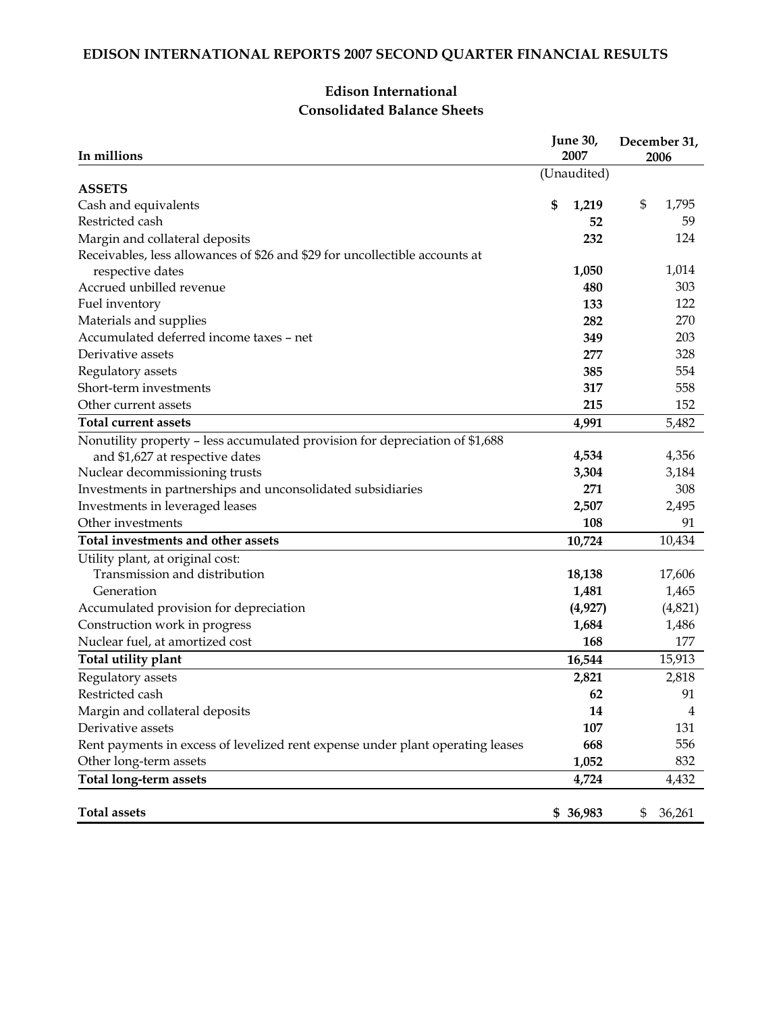### **Edison International Consolidated Balance Sheets**

| In millions                                                                    | June 30,<br>2007 |                   | December 31,<br>2006 |
|--------------------------------------------------------------------------------|------------------|-------------------|----------------------|
|                                                                                | (Unaudited)      |                   |                      |
| <b>ASSETS</b>                                                                  |                  |                   | 1,795                |
| Cash and equivalents<br>Restricted cash                                        | \$               | 1,219             | \$                   |
|                                                                                |                  | 52                | 59                   |
| Margin and collateral deposits                                                 |                  | 232               | 124                  |
| Receivables, less allowances of \$26 and \$29 for uncollectible accounts at    |                  | 1,050             | 1,014                |
| respective dates<br>Accrued unbilled revenue                                   |                  | 480               | 303                  |
| Fuel inventory                                                                 |                  | 133               | 122                  |
|                                                                                |                  | 282               | 270                  |
| Materials and supplies<br>Accumulated deferred income taxes - net              |                  | 349               | 203                  |
| Derivative assets                                                              |                  | 277               | 328                  |
|                                                                                |                  | 385               | 554                  |
| Regulatory assets<br>Short-term investments                                    |                  | 317               | 558                  |
| Other current assets                                                           |                  | 215               | 152                  |
| <b>Total current assets</b>                                                    |                  |                   |                      |
|                                                                                |                  | 4,991             | 5,482                |
| Nonutility property - less accumulated provision for depreciation of \$1,688   |                  | 4,534             | 4,356                |
| and \$1,627 at respective dates                                                |                  | 3,304             | 3,184                |
| Nuclear decommissioning trusts                                                 |                  | 271               | 308                  |
| Investments in partnerships and unconsolidated subsidiaries                    |                  | 2,507             |                      |
| Investments in leveraged leases                                                |                  | 108               | 2,495<br>91          |
| Other investments                                                              |                  |                   |                      |
| Total investments and other assets                                             |                  | 10,724            | 10,434               |
| Utility plant, at original cost:<br>Transmission and distribution              |                  |                   |                      |
| Generation                                                                     |                  | 18,138            | 17,606               |
|                                                                                |                  | 1,481             | 1,465                |
| Accumulated provision for depreciation                                         |                  | (4, 927)<br>1,684 | (4,821)              |
| Construction work in progress<br>Nuclear fuel, at amortized cost               |                  | 168               | 1,486<br>177         |
|                                                                                |                  |                   |                      |
| Total utility plant                                                            |                  | 16,544            | 15,913               |
| Regulatory assets                                                              |                  | 2,821             | 2,818                |
| Restricted cash                                                                |                  | 62                | 91                   |
| Margin and collateral deposits                                                 |                  | 14                | 4                    |
| Derivative assets                                                              |                  | 107               | 131                  |
| Rent payments in excess of levelized rent expense under plant operating leases |                  | 668               | 556                  |
| Other long-term assets                                                         |                  | 1,052             | 832                  |
| <b>Total long-term assets</b>                                                  |                  | 4,724             | 4,432                |
| <b>Total assets</b>                                                            |                  | \$36,983          | \$<br>36,261         |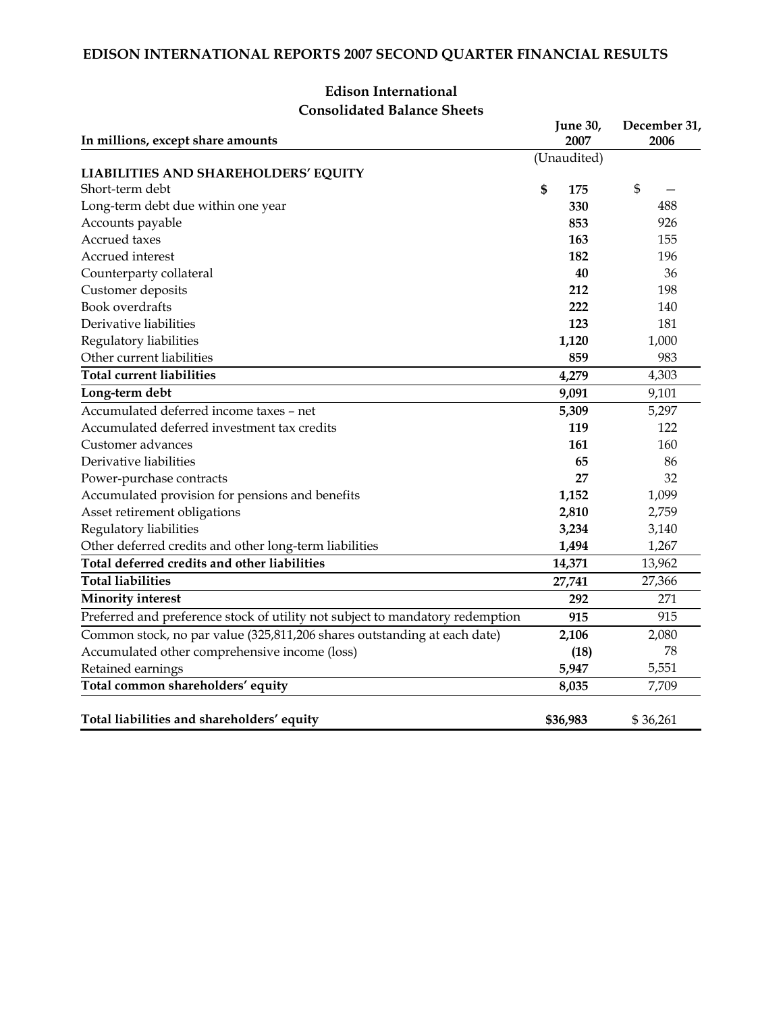| In millions, except share amounts                                             | <b>June 30,</b><br>2007 | December 31,<br>2006 |
|-------------------------------------------------------------------------------|-------------------------|----------------------|
|                                                                               | (Unaudited)             |                      |
| LIABILITIES AND SHAREHOLDERS' EQUITY                                          |                         |                      |
| Short-term debt                                                               | \$<br>175               | \$                   |
| Long-term debt due within one year                                            | 330                     | 488                  |
| Accounts payable                                                              | 853                     | 926                  |
| Accrued taxes                                                                 | 163                     | 155                  |
| Accrued interest                                                              | 182                     | 196                  |
| Counterparty collateral                                                       | 40                      | 36                   |
| Customer deposits                                                             | 212                     | 198                  |
| <b>Book</b> overdrafts                                                        | 222                     | 140                  |
| Derivative liabilities                                                        | 123                     | 181                  |
| Regulatory liabilities                                                        | 1,120                   | 1,000                |
| Other current liabilities                                                     | 859                     | 983                  |
| <b>Total current liabilities</b>                                              | 4,279                   | 4,303                |
| Long-term debt                                                                | 9,091                   | 9,101                |
| Accumulated deferred income taxes - net                                       | 5,309                   | 5,297                |
| Accumulated deferred investment tax credits                                   | 119                     | 122                  |
| Customer advances                                                             | 161                     | 160                  |
| Derivative liabilities                                                        | 65                      | 86                   |
| Power-purchase contracts                                                      | 27                      | 32                   |
| Accumulated provision for pensions and benefits                               | 1,152                   | 1,099                |
| Asset retirement obligations                                                  | 2,810                   | 2,759                |
| Regulatory liabilities                                                        | 3,234                   | 3,140                |
| Other deferred credits and other long-term liabilities                        | 1,494                   | 1,267                |
| Total deferred credits and other liabilities                                  | 14,371                  | 13,962               |
| <b>Total liabilities</b>                                                      | 27,741                  | 27,366               |
| <b>Minority interest</b>                                                      | 292                     | 271                  |
| Preferred and preference stock of utility not subject to mandatory redemption | 915                     | 915                  |
| Common stock, no par value (325,811,206 shares outstanding at each date)      | 2,106                   | 2,080                |
| Accumulated other comprehensive income (loss)                                 | (18)                    | 78                   |
| Retained earnings                                                             | 5,947                   | 5,551                |
| Total common shareholders' equity                                             | 8,035                   | 7,709                |
| Total liabilities and shareholders' equity                                    | \$36,983                | \$36,261             |

## **Edison International Consolidated Balance Sheets**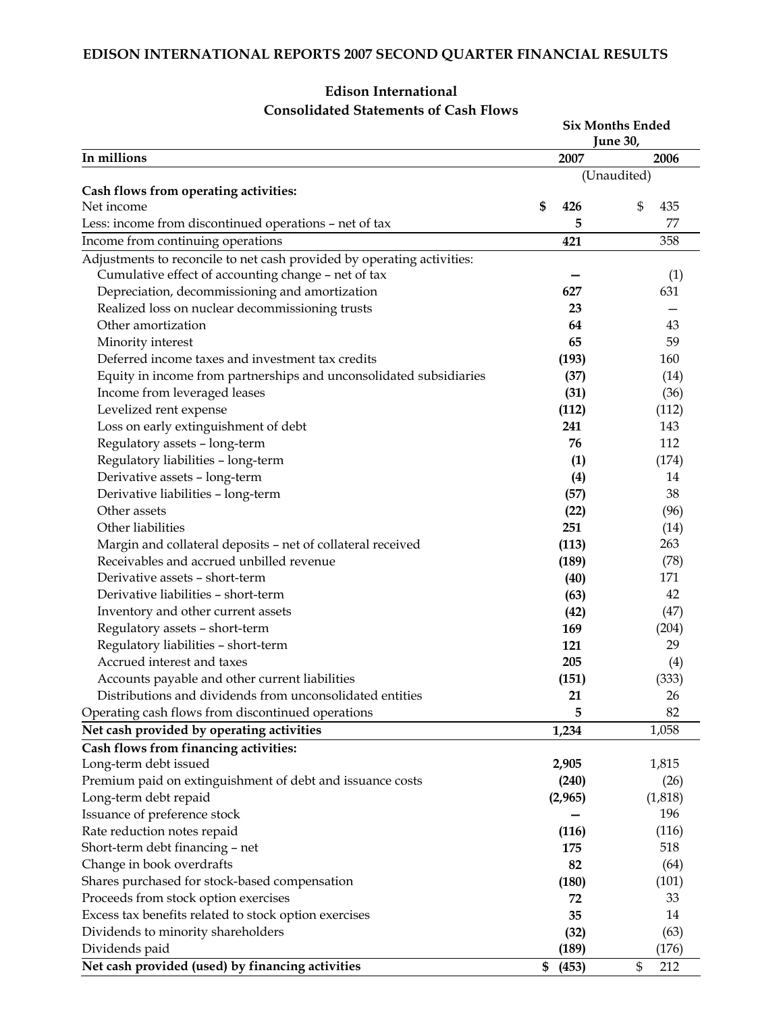|                                                                        |             | <b>Six Months Ended</b><br>June 30, |
|------------------------------------------------------------------------|-------------|-------------------------------------|
| In millions                                                            | 2007        | 2006                                |
|                                                                        |             | (Unaudited)                         |
| Cash flows from operating activities:                                  |             |                                     |
| Net income                                                             | \$<br>426   | \$<br>435                           |
| Less: income from discontinued operations - net of tax                 | 5           | 77                                  |
| Income from continuing operations                                      | 421         | 358                                 |
| Adjustments to reconcile to net cash provided by operating activities: |             |                                     |
| Cumulative effect of accounting change - net of tax                    |             | (1)                                 |
| Depreciation, decommissioning and amortization                         | 627         | 631                                 |
| Realized loss on nuclear decommissioning trusts                        | 23          |                                     |
| Other amortization                                                     | 64          | 43                                  |
| Minority interest                                                      | 65          | 59                                  |
| Deferred income taxes and investment tax credits                       | (193)       | 160                                 |
| Equity in income from partnerships and unconsolidated subsidiaries     | (37)        | (14)                                |
| Income from leveraged leases                                           | (31)        | (36)                                |
| Levelized rent expense                                                 | (112)       | (112)                               |
| Loss on early extinguishment of debt                                   | 241         | 143                                 |
| Regulatory assets - long-term                                          | 76          | 112                                 |
| Regulatory liabilities - long-term                                     | (1)         | (174)                               |
| Derivative assets - long-term                                          | (4)         | 14                                  |
| Derivative liabilities - long-term                                     | (57)        | 38                                  |
| Other assets                                                           | (22)        | (96)                                |
| Other liabilities                                                      | 251         | (14)                                |
| Margin and collateral deposits - net of collateral received            | (113)       | 263                                 |
| Receivables and accrued unbilled revenue                               | (189)       | (78)                                |
| Derivative assets - short-term                                         | (40)        | 171                                 |
| Derivative liabilities - short-term                                    | (63)        | 42                                  |
| Inventory and other current assets                                     | (42)        | (47)                                |
| Regulatory assets - short-term                                         | 169         | (204)                               |
| Regulatory liabilities - short-term                                    | 121         | 29                                  |
| Accrued interest and taxes                                             | 205         | (4)                                 |
| Accounts payable and other current liabilities                         | (151)       | (333)                               |
| Distributions and dividends from unconsolidated entities               | 21          | 26                                  |
| Operating cash flows from discontinued operations                      | 5           | 82                                  |
| Net cash provided by operating activities                              | 1,234       | 1,058                               |
|                                                                        |             |                                     |
| Cash flows from financing activities:<br>Long-term debt issued         | 2,905       | 1,815                               |
| Premium paid on extinguishment of debt and issuance costs              | (240)       | (26)                                |
| Long-term debt repaid                                                  | (2,965)     | (1,818)                             |
| Issuance of preference stock                                           |             | 196                                 |
| Rate reduction notes repaid                                            | (116)       | (116)                               |
| Short-term debt financing - net                                        | 175         | 518                                 |
| Change in book overdrafts                                              | 82          | (64)                                |
| Shares purchased for stock-based compensation                          | (180)       | (101)                               |
|                                                                        | 72          |                                     |
| Proceeds from stock option exercises                                   | 35          | 33                                  |
| Excess tax benefits related to stock option exercises                  |             | 14                                  |
| Dividends to minority shareholders                                     | (32)        | (63)                                |
| Dividends paid                                                         | (189)       | (176)                               |
| Net cash provided (used) by financing activities                       | (453)<br>\$ | \$<br>212                           |

## **Edison International Consolidated Statements of Cash Flows**